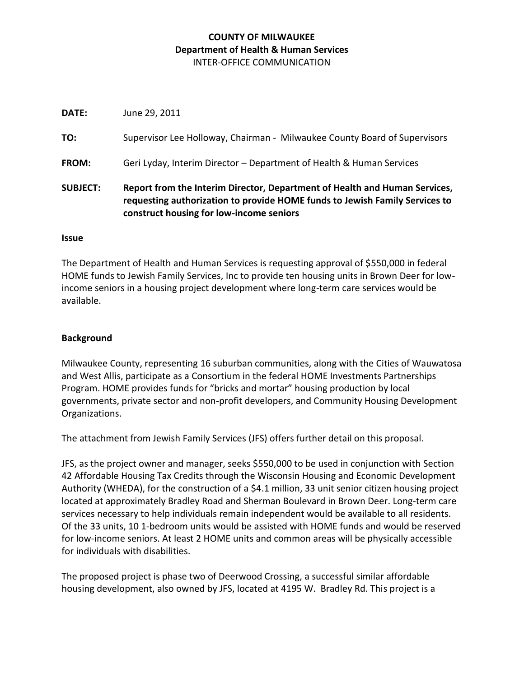# **COUNTY OF MILWAUKEE Department of Health & Human Services** INTER-OFFICE COMMUNICATION

**DATE:** June 29, 2011 **TO:** Supervisor Lee Holloway, Chairman - Milwaukee County Board of Supervisors **FROM:** Geri Lyday, Interim Director – Department of Health & Human Services **SUBJECT: Report from the Interim Director, Department of Health and Human Services, requesting authorization to provide HOME funds to Jewish Family Services to construct housing for low-income seniors**

#### **Issue**

The Department of Health and Human Services is requesting approval of \$550,000 in federal HOME funds to Jewish Family Services, Inc to provide ten housing units in Brown Deer for lowincome seniors in a housing project development where long-term care services would be available.

### **Background**

Milwaukee County, representing 16 suburban communities, along with the Cities of Wauwatosa and West Allis, participate as a Consortium in the federal HOME Investments Partnerships Program. HOME provides funds for "bricks and mortar" housing production by local governments, private sector and non-profit developers, and Community Housing Development Organizations.

The attachment from Jewish Family Services (JFS) offers further detail on this proposal.

JFS, as the project owner and manager, seeks \$550,000 to be used in conjunction with Section 42 Affordable Housing Tax Credits through the Wisconsin Housing and Economic Development Authority (WHEDA), for the construction of a \$4.1 million, 33 unit senior citizen housing project located at approximately Bradley Road and Sherman Boulevard in Brown Deer. Long-term care services necessary to help individuals remain independent would be available to all residents. Of the 33 units, 10 1-bedroom units would be assisted with HOME funds and would be reserved for low-income seniors. At least 2 HOME units and common areas will be physically accessible for individuals with disabilities.

The proposed project is phase two of Deerwood Crossing, a successful similar affordable housing development, also owned by JFS, located at 4195 W. Bradley Rd. This project is a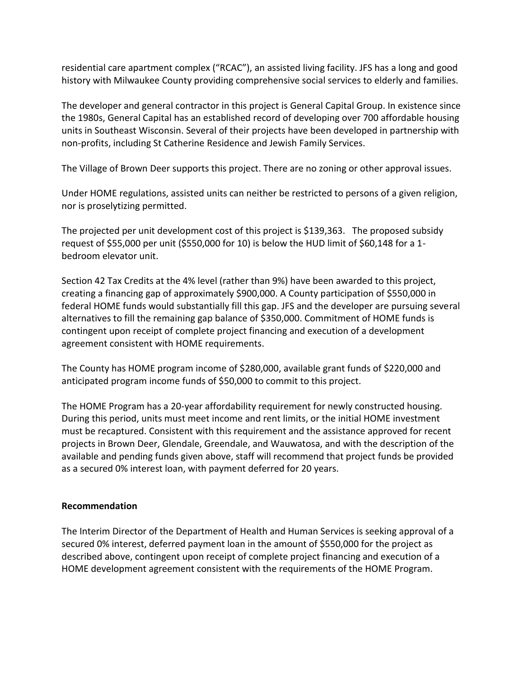residential care apartment complex ("RCAC"), an assisted living facility. JFS has a long and good history with Milwaukee County providing comprehensive social services to elderly and families.

The developer and general contractor in this project is General Capital Group. In existence since the 1980s, General Capital has an established record of developing over 700 affordable housing units in Southeast Wisconsin. Several of their projects have been developed in partnership with non-profits, including St Catherine Residence and Jewish Family Services.

The Village of Brown Deer supports this project. There are no zoning or other approval issues.

Under HOME regulations, assisted units can neither be restricted to persons of a given religion, nor is proselytizing permitted.

The projected per unit development cost of this project is \$139,363. The proposed subsidy request of \$55,000 per unit (\$550,000 for 10) is below the HUD limit of \$60,148 for a 1 bedroom elevator unit.

Section 42 Tax Credits at the 4% level (rather than 9%) have been awarded to this project, creating a financing gap of approximately \$900,000. A County participation of \$550,000 in federal HOME funds would substantially fill this gap. JFS and the developer are pursuing several alternatives to fill the remaining gap balance of \$350,000. Commitment of HOME funds is contingent upon receipt of complete project financing and execution of a development agreement consistent with HOME requirements.

The County has HOME program income of \$280,000, available grant funds of \$220,000 and anticipated program income funds of \$50,000 to commit to this project.

The HOME Program has a 20-year affordability requirement for newly constructed housing. During this period, units must meet income and rent limits, or the initial HOME investment must be recaptured. Consistent with this requirement and the assistance approved for recent projects in Brown Deer, Glendale, Greendale, and Wauwatosa, and with the description of the available and pending funds given above, staff will recommend that project funds be provided as a secured 0% interest loan, with payment deferred for 20 years.

# **Recommendation**

The Interim Director of the Department of Health and Human Services is seeking approval of a secured 0% interest, deferred payment loan in the amount of \$550,000 for the project as described above, contingent upon receipt of complete project financing and execution of a HOME development agreement consistent with the requirements of the HOME Program.